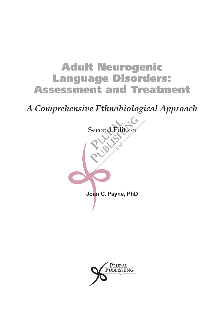# Adult Neurogenic Language Disorders: Assessment and Treatment

*A Comprehensive Ethnobiological Approach*



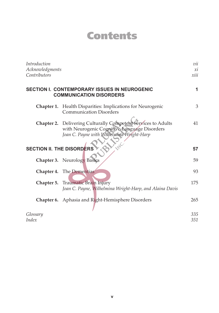# Contents

| Introduction<br>Acknowledgments<br>Contributors |                                                                                                                                                            | vii<br>xi<br>xiii |
|-------------------------------------------------|------------------------------------------------------------------------------------------------------------------------------------------------------------|-------------------|
|                                                 | <b>SECTION I. CONTEMPORARY ISSUES IN NEUROGENIC</b><br><b>COMMUNICATION DISORDERS</b>                                                                      | 1                 |
| Chapter 1.                                      | Health Disparities: Implications for Neurogenic<br><b>Communication Disorders</b>                                                                          | 3                 |
|                                                 | Chapter 2. Delivering Culturally Competent Services to Adults<br>with Neurogenic Cognitive-Language Disorders<br>Joan C. Payne with Wilhelmina Wright-Harp | 41                |
| <b>SECTION II. THE DISORDERS</b>                |                                                                                                                                                            | 57                |
|                                                 | <b>Chapter 3.</b> Neurology Basics                                                                                                                         | 59                |
|                                                 | Chapter 4. The Dementias                                                                                                                                   | 93                |
| Chapter 5.                                      | Traumatic Brain Injury<br>Joan C. Payne, Wilhelmina Wright-Harp, and Alaina Davis                                                                          | 175               |
| Chapter 6.                                      | Aphasia and Right-Hemisphere Disorders                                                                                                                     | 265               |
| Glossary<br><i>Index</i>                        |                                                                                                                                                            | 335<br>351        |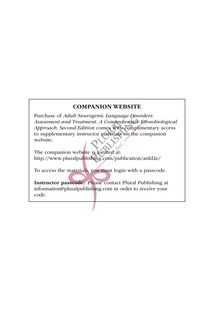#### COMPANION WEBSITE

Purchase of *Adult Neurogenic Language Disorders: Assessment and Treatment. A Comprehensive Ethnobiological Approach, Second Edition* comes with complimentary access to supplementary instructor materials on the companion website.

The companion website is located at: http://www.pluralpublishing.com/publication/anld2e/

To access the materials, you must login with a passcode.

Instructor passcode: Please contact Plural Publishing at information@pluralpublishing.com in order to receive your code.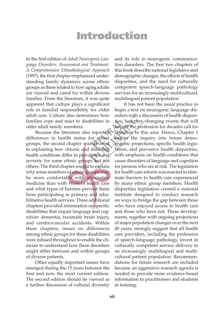## Introduction

In the first edition of *Adult Neurogenic Language Disorders: Assessment and Treatment. A Comprehensive Ethnobiological Approach* (1997), the first chapter emphasized understanding family dynamics across ethnic groups as these related to how aging adults are viewed and cared for within diverse families. From the literature, it was quite apparent that culture plays a significant role in familial responsibility for older adult care. Culture also determines how families cope and react to disabilities in older adult family members.

Because the literature also reported differences in health status for ethnic groups, the second chapter was devoted to explaining how chronic and disabling health conditions differ in prevalence and severity for some ethnic groups but not others. The third chapter sought to explain why some members of ethnic groups may be more comfortable with alternative medicine than with Western health care and what types of barriers prevent them from participating in primary and rehabilitative health services. Three additional chapters provided information on specific disabilities that impair language and cognition: dementia, traumatic brain injury, and cerebrovascular accidents. Within these chapters, issues on differences among ethnic groups for these disabilities were infused throughout to enable the clinician to understand how these disorders might differ between and within groups of diverse patients.

Other equally important issues have emerged during the 15 years between the first and now the most current edition. The second edition should be viewed as a further discussion of cultural diversity and its role in neurogenic communication disorders. The first two chapters of this book describe national legislative and demographic changes, the effects of health disparities, and the need for culturally competent speech-language pathology services for an increasingly multicultural, multilingual patient population.

It has not been the usual practice to begin a text on neurogenic language disorders with a discussion of health disparities; however, changing events that will impact the profession for decades call for attention to this area. Hence, Chapter 1 begins the inquiry into future demographic projections, specific health legislation, and pervasive health disparities, with emphasis on health conditions that cause disorders of language and cognition for persons who are at risk. The legislation for health care reform was enacted to eliminate barriers to health care experienced by many ethnic group members. Health disparities legislation created a national institute designed to conduct research on ways to bridge the gap between those who have enjoyed access to health care and those who have not. These developments, together with ongoing projections of major population changes over the next 40 years, strongly suggest that all health care providers, including the profession of speech-language pathology, invest in culturally competent service delivery to an increasingly multilingual and multicultural patient population. Recommendations for future research are included because an aggressive research agenda is needed to provide more evidence-based information to practitioners and students in training.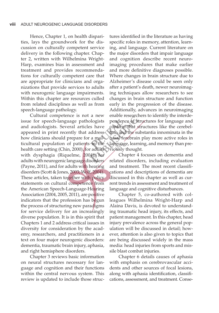Hence, Chapter 1, on health disparities, lays the groundwork for the discussion on culturally competent service delivery in the following chapter. Chapter 2, written with Wilhelmina Wright-Harp, examines bias in assessment and treatment and provides recommendations for culturally competent care that are appropriate for clinicians and organizations that provide services to adults with neurogenic language impairments. Within this chapter are resources culled from related disciplines as well as from speech-language pathology.

Cultural competence is not a new issue for speech-language pathologists and audiologists. Several articles have appeared in print recently that address how clinicians should prepare for a multicultural population of patients in the health care setting (Chin, 2000), for adults with dysphagia (Riquelme, 2004), for adults with neurogenic language disorders (Payne, 2011), and for adults with hearing disorders (Scott & Jones, 2003; Wolf, 2004). These articles, taken together with policy statements on cultural competence from the American Speech-Language-Hearing Association (2004, 2005, 2011), are positive indicators that the profession has begun the process of structuring new paradigms for service delivery for an increasingly diverse population. It is in this spirit that Chapters 1 and 2 address critical issues in diversity for consideration by the academy, researchers, and practitioners in a text on four major neurogenic disorders: dementia, traumatic brain injury, aphasia, and right hemisphere disorders.

Chapter 3 reviews basic information on neural structures necessary for language and cognition and their functions within the central nervous system. This review is updated to include those struc-

tures identified in the literature as having specific roles in memory, attention, learning, and language. Current literature on the major disorders that impair language and cognition describe recent neuroimaging procedures that make earlier and more definitive diagnoses possible. Where changes in brain structure due to Alzheimer's disease could be seen only after a patient's death, newer neuroimaging techniques allow researchers to see changes in brain structure and function early in the progression of the disease. Additionally, advances in neuroimaging enable researchers to identify the interdependence of structures for language and confirm that structures like the cerebellum and the substantia innominata in the basal forebrain play more active roles in language, learning, and memory than previously thought.

Chapter 4 focuses on dementia and related disorders, including evaluation and treatment. The most recent classifications and descriptions of dementia are discussed in this chapter as well as current trends in assessment and treatment of language and cognitive disturbances.

Chapter 5, co-authored with colleagues Wilhelmina Wright-Harp and Alaina Davis, is devoted to understanding traumatic head injury, its effects, and patient management. In this chapter, head injury prevalence across the general population will be discussed in detail; however, attention is also given to topics that are being discussed widely in the mass media: head injuries from sports and missile blast combat injuries.

Chapter 6 details causes of aphasia with emphasis on cerebrovascular accidents and other sources of focal lesions, along with aphasia identification, classifications, assessment, and treatment. Conse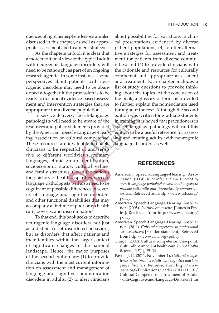quences of right hemisphere lesions are also discussed in this chapter, as well as appropriate assessment and treatment strategies.

As the chapters unfold, it is clear that a more traditional view of the typical adult with neurogenic language disorders will need to be rethought as part of an ongoing research agenda. In some instances, some perspectives about patients with neurogenic disorders may need to be abandoned altogether if the profession is to be ready to document evidence-based assessment and intervention strategies that are appropriate for a diverse population.

In service delivery, speech-language pathologists will need to be aware of the resources and policy statements provided by the American Speech-Language-Hearing Association on cultural competence. These resources are invaluable to enable clinicians to be respectful of and sensitive to different worldviews, primary languages, ethnic group identification, socioeconomic status, cultural values, and family structures. Given the nation's long history of health disparities, speechlanguage pathologists will also need to be cognizant of possible differences in severity of language and cognitive disorders and other functional disabilities that may accompany a lifetime of poor or no health care, poverty, and discrimination.

To that end, this book seeks to describe neurogenic language disorders not just as a distinct set of disordered behaviors, but as disorders that affect patients and their families within the larger context of significant changes in the national landscape. Hence, the major purposes of the second edition are: (1) to provide clinicians with the most current information on assessment and management of language and cognitive communication disorders in adults; (2) to alert clinicians

about possibilities for variations in clinical presentations evidenced by diverse patient populations; (3) to offer alternative strategies for assessment and treatment for patients from diverse communities; and (4) to provide clinicians with the rationale and resources for culturally competent and appropriate assessment and treatment. Each chapter includes a list of study questions to provoke thinking about the topics. At the conclusion of the book, a glossary of terms is provided to further explain the nomenclature used throughout the text. Although the second edition was written for graduate students in training, it is hoped that practitioners in speech-language pathology will find this edition to be a useful reference for assessing and treating adults with neurogenic language disorders as well.

#### **References**

- American Speech-Language-Hearing Association. (2004). *Knowledge and skills needed by speech-language pathologists and audiologists to provide culturally and linguistically appropriate services.* Retrieved from http://www.asha.org/ policy
- American Speech-Language-Hearing Association. (2005). *Cultural competence* [Issues in Ethics]. Retrieved from http://www.asha.org/ policy
- American Speech-Language-Hearing Association. (2011). *Cultural competence in professional service delivery* [Position statement]. Retrieved from http://www.asha.org/policy
- Chin, J. (2000). Cultural competence. Viewpoint. Culturally competent health care. *Public Health Reports, 115*(1), 25–34.
- Payne, J. C. (2011, November 1). *Cultural competence in treatment of adults with cognitive and language disorders.* Retrieved from http://www .asha.org/Publications/leader/2011/111101/ Cultural-Competence-in-Treatment-of-Adults -with-Cognitive-and-Language-Disorders.htm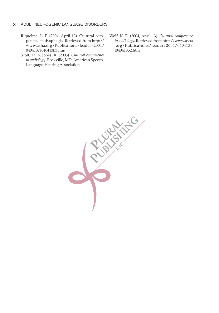#### **x** Adult Neurogenic Language Disorders

- Riquelme, L. F. (2004, April 13). Cultural competence in dysphagia. Retrieved from http:// www.asha.org/Publications/leader/2004/ 040413/f040413b3.htm
- Scott, D., & Jones, R. (2003). *Cultural competence in audiology*. Rockville, MD: American Speech-Language-Hearing Association.
- Wolf, K. E. (2004, April 13). *Cultural competence in audiology.* Retrieved from http://www.asha .org/Publications/leader/2004/040413/ f040413b2.htm

**Proprieties**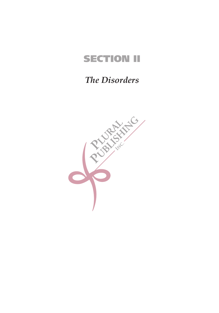# **SECTION II**

### *The Disorders*

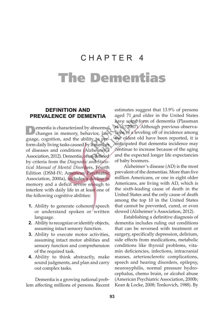# CHAPTER 4 The Dementias

#### **Definition and Prevalence of Dementia**

ementia is characterized by abnormal changes in memory, behavior, language, cognition, and the ability to perform daily living tasks caused by a number of diseases and conditions (Alzheimer's Association, 2012). Dementia, often defined by criteria from the *Diagnostic and Statistical Manual of Mental Disor*ders, Fourth Edition (DSM-IV; American Psychiatric Association, 2000a), includes a decline in memory and a deficit severe enough to interfere with daily life in at least one of the following cognitive abilities:

- **1.** Ability to generate coherent speech or understand spoken or written language.
- **2.** Ability to recognize or identify objects, assuming intact sensory function.
- **3.** Ability to execute motor activities, assuming intact motor abilities and sensory function and comprehension of the required task.
- **4.** Ability to think abstractly, make sound judgments, and plan and carry out complex tasks.

Dementia is a growing national problem affecting millions of persons. Recent

estimates suggest that 13.9% of persons aged 71 and older in the United States have some form of dementia (Plassman et al., 2007). Although previous observations of a leveling off of incidence among the oldest old have been reported, it is anticipated that dementia incidence may continue to increase because of the aging and the expected longer life expectancies of baby boomers.

Alzheimer's disease (AD) is the most prevalent of the dementias. More than five million Americans, or one in eight older Americans, are living with AD, which is the sixth-leading cause of death in the United States and the only cause of death among the top 10 in the United States that cannot be prevented, cured, or even slowed (Alzheimer's Association, 2012).

Establishing a definitive diagnosis of dementia includes ruling out conditions that can be reversed with treatment or surgery, specifically depression, delirium, side effects from medications, metabolic conditions like thyroid problems, vitamin deficiencies, infections, intracranial masses, arteriosclerotic complications, speech and hearing disorders, epilepsy, neurosyphilis, normal pressure hydrocephalus, chemo brain, or alcohol abuse (American Psychiatric Association, 2000b; Kean & Locke, 2008; Tonkovich, 1988). By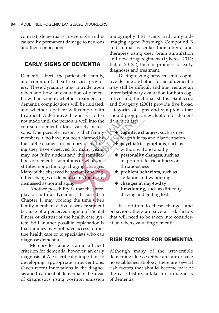contrast, dementia is irreversible and is caused by permanent damage to neurons and their connections.

#### **Early Signs of Dementia**

Dementia affects the patient, the family, and community health service providers. These dynamics may intrude upon when and how an evaluation of dementia will be sought, whether treatment for dementia complications will be initiated, and whether a patient will comply with treatment. A definitive diagnosis is often not made until the person is well into the course of dementia for a variety of reasons. One possible reason is that family members, who have not been alarmed by the subtle changes in memory or reasoning they have observed for many years, may not fully understand the ramifications of dementia symptoms or what constitutes nonpathological aging changes. Many of the observed behavioral and cognitive changes of dementia are, therefore, dismissed as normal aging.

Another possibility is that the interplay of cultural dynamics, discussed in Chapter 1, may prolong the time when family members actively seek treatment because of a perceived stigma of mental illness or distrust of the health care system. Still another possible explanation is that families may not have access to routine health care or to specialists who can diagnose dementia.

Memory loss alone is an insufficient criterion for dementia; however, an early diagnosis of AD is critically important to developing appropriate interventions. Given recent innovations in the diagnosis and treatment of dementia in the areas of diagnostics using positron emission

tomography PET scans with amyloidimaging agent Pittsburgh Compound B and retinal vascular biomarkers, and therapies using deep brain stimulation and new drug regimens (Lyketos, 2012; Rabin, 2012a), there is promise for early diagnoses and treatment.

Distinguishing between mild cognitive decline and other forms of dementia may still be difficult and may require an interdisciplinary evaluation for both cognitive and functional status. Santacruz and Swagerty (2001) provide five broad categories of signs and symptoms that should prompt an evaluation for dementia, which are:

- **cognitive changes**, such as new forgetfulness and disorientation
- $\triangle$  psychiatric symptoms, such as withdrawal and apathy
- ◆ personality changes, such as inappropriate friendliness or flirtatiousness
- ◆ problem behaviors, such as agitation and wandering
- ◆ changes in day-to-day **functioning**, such as difficulty driving and getting lost.

In addition to these changes and behaviors, there are several risk factors that will need to be taken into consideration when evaluating dementia.

#### **Risk Factors for Dementia**

Although many of the irreversible dementing illnesses either are rare or have no established etiology, there are several risk factors that should become part of the case history intake for a diagnosis of dementia.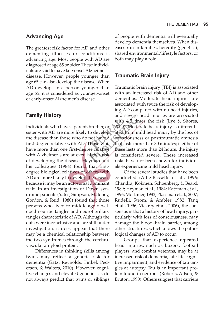#### **Advancing Age**

The greatest risk factor for AD and other dementing illnesses or conditions is advancing age. Most people with AD are diagnosed at age 65 or older. These individuals are said to have late-onset Alzheimer's disease. However, people younger than age 65 can also develop the disease. When AD develops in a person younger than age 65, it is considered as younger-onset or early-onset Alzheimer's disease.

#### **Family History**

Individuals who have a parent, brother, or sister with AD are more likely to develop the disease than those who do not have a first-degree relative with AD. Those who have more than one first-degree relative with Alzheimer's are at even higher risk of developing the disease. Heyman and his colleagues (1984) found that firstdegree biological relatives of others with AD are more likely to develop the disease because it may be an autosomal dominant trait. In an investigation of Down syndrome patients (Yates, Simpson, Maloney, Gordon, & Reid, 1980) found that those persons who lived to middle age developed neuritic tangles and neurofibrillary tangles characteristic of AD. Although the data were inconclusive and are still under investigation, it does appear that there may be a chemical relationship between the two syndromes through the cerebrovascular amyloid protein.

Differences in thinking skills among twins may reflect a genetic risk for dementia (Gatz, Reynolds, Finkel, Pederson, & Walters, 2010). However, cognitive changes and elevated genetic risk do not always predict that twins or siblings of people with dementia will eventually develop dementia themselves. When diseases run in families, heredity (genetics), shared environmental/lifestyle factors, or both may play a role.

#### **Traumatic Brain Injury**

Traumatic brain injury (TBI) is associated with an increased risk of AD and other dementias. Moderate head injuries are associated with twice the risk of developing AD compared with no head injuries, and severe head injuries are associated with 4.5 times the risk (Lye & Shores, 2000). Moderate head injury is differentiated from mild head injury by the loss of consciousness or posttraumatic amnesia that lasts more than 30 minutes; if either of these lasts more than 24 hours, the injury is considered severe. These increased risks have not been shown for individuals experiencing mild head injury.

Of the several studies that have been conducted (Adle-Bassette et al., 1996; Chandra, Kokmen, Schoenberg, & Beard, 1989; Heyman et al., 1984; Katzman et al., 1996; Mortimer, 1983; Plassman et al., 2007; Rudelli, Strom, & Ambler, 1982; Tang et al., 1996; Vickrey et al., 2006), the consensus is that a history of head injury, particularly with loss of consciousness, may damage the blood–brain barrier, among other structures, which allows the pathological changes of AD to occur.

Groups that experience repeated head injuries, such as boxers, football players, and combat veterans, may be at increased risk of dementia, late-life cognitive impairment, and evidence of tau tangles at autopsy. Tau is an important protein found in neurons (Roberts, Allsop, & Bruton, 1990). Others suggest that carriers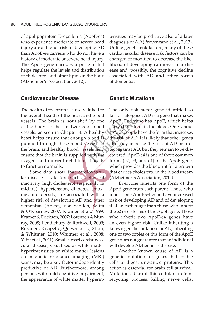of apolipoprotein E–epsilon 4 (ApoE-e4) who experience moderate or severe head injury are at higher risk of developing AD than ApoE-e4 carriers who do not have a history of moderate or severe head injury. The ApoE gene encodes a protein that helps regulate the levels and distribution of cholesterol and other lipids in the body (Alzheimer's Association, 2012).

#### **Cardiovascular Disease**

The health of the brain is closely linked to the overall health of the heart and blood vessels. The brain is nourished by one of the body's richest networks of blood vessels, as seen in Chapter 3. A healthy heart helps ensure that enough blood is pumped through these blood vessels to the brain, and healthy blood vessels help ensure that the brain is supplied with the oxygen- and nutrient-rich blood it needs to function normally.

Some data show that cardiovascular disease risk factors, such as physical inactivity, high cholesterol (especially in midlife), hypertension, diabetes, smoking, and obesity, are associated with a higher risk of developing AD and other dementias (Anstey, von Sanden, Salim & O'Kearney, 2007; Kramer et al., 1999; Kramer & Erickson, 2007; Lorenzen & Murray, 2008; Pendlebury & Rothwell, 2009; Rusanen, Kivipelto, Quesenberry, Zhou, & Whitmer, 2010; Whitmer et al., 2008; Yaffe et al., 2011). Small-vessel cerebrovascular disease, visualized as white matter hyperintensities or white matter lesions on magnetic resonance imaging (MRI) scans, may be a key factor independently predictive of AD. Furthermore, among persons with mild cognitive impairment, the appearance of white matter hyperintensities may be predictive also of a later diagnosis of AD (Provenzano et al., 2013). Unlike genetic risk factors, many of these cardiovascular disease risk factors can be changed or modified to decrease the likelihood of developing cardiovascular disease and, possibly, the cognitive decline associated with AD and other forms of dementia.

#### **Genetic Mutations**

The only risk factor gene identified so far for late-onset AD is a gene that makes ApoE. Everyone has ApoE, which helps carry cholesterol in the blood. Only about 15% of people have the form that increases the risk of AD. It is likely that other genes also may increase the risk of AD or protect against AD, but they remain to be discovered. ApoE-e4 is one of three common forms (e2, e3, and e4) of the ApoE gene, which provides the blueprint for a protein that carries cholesterol in the bloodstream (Alzheimer's Association, 2012).

Everyone inherits one form of the ApoE gene from each parent. Those who inherit one ApoE-e4 gene have increased risk of developing AD and of developing it at an earlier age than those who inherit the e2 or e3 forms of the ApoE gene. Those who inherit two ApoE-e4 genes have an even higher risk. Unlike inheriting a known genetic mutation for AD, inheriting one or two copies of this form of the ApoE gene does not guarantee that an individual will develop Alzheimer's disease.

Another known cause of AD is a genetic mutation for genes that enable cells to digest unwanted proteins. This action is essential for brain cell survival. Mutations disrupt this cellular proteinrecycling process, killing nerve cells.